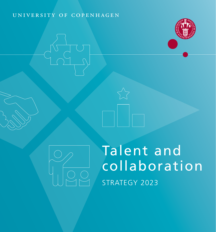#### university of copenhagen







Talent and collaboration STRATEGY 2023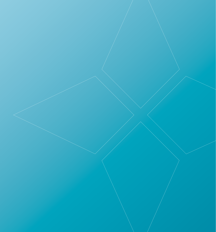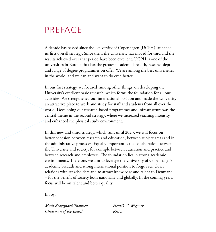## PREFACE

A decade has passed since the University of Copenhagen (UCPH) launched its first overall strategy. Since then, the University has moved forward and the results achieved over that period have been excellent. UCPH is one of the universities in Europe that has the greatest academic breadth, research depth and range of degree programmes on offer. We are among the best universities in the world; and we can and want to do even better.

In our first strategy, we focused, among other things, on developing the University's excellent basic research, which forms the foundation for all our activities. We strengthened our international position and made the University an attractive place to work and study for staff and students from all over the world. Developing our research-based programmes and infrastructure was the central theme in the second strategy, where we increased teaching intensity and enhanced the physical study environment.

In this new and third strategy, which runs until 2023, we will focus on better cohesion between research and education, between subject areas and in the administrative processes. Equally important is the collaboration between the University and society, for example between education and practice and between research and employers. The foundation lies in strong academic environments. Therefore, we aim to leverage the University of Copenhagen's academic breadth and strong international position to forge even closer relations with stakeholders and to attract knowledge and talent to Denmark – for the benefit of society both nationally and globally. In the coming years, focus will be on talent and better quality.

Enjoy!

*Mads Krogsgaard Thomsen Chairman of the Board*

*Henrik C. Wegener Rector*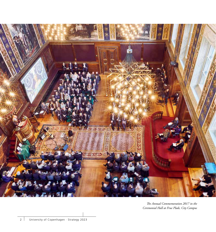

*The Annual Commemoration 2017 in the Ceremonial Hall at Frue Plads, City Campus*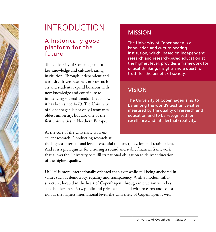

## INTRODUCTION

## A historically good platform for the future

The University of Copenhagen is a key knowledge and culture-bearing institution. Through independent and curiosity-driven research, our researchers and students expand horizons with new knowledge and contribute to influencing societal trends. That is how it has been since 1479. The University of Copenhagen is not only Denmark's oldest university, but also one of the first universities in Northern Europe.

At the core of the University is its excellent research. Conducting research at

## MISSION

The University of Copenhagen is a knowledge and culture-bearing institution, which, based on independent research and research-based education at the highest level, provides a framework for critical thinking, insights and a quest for truth for the benefit of society.

## **VISION**

The University of Copenhagen aims to be among the world's best universities measured by the quality of research and education and to be recognised for excellence and intellectual creativity.

the highest international level is essential to attract, develop and retain talent. And it is a prerequisite for ensuring a sound and stable financial framework that allows the University to fulfil its national obligation to deliver education of the highest quality.

UCPH is more internationally oriented than ever while still being anchored in values such as democracy, equality and transparency. With a modern infrastructure, located in the heart of Copenhagen, through interaction with key stakeholders in society, public and private alike, and with research and education at the highest international level, the University of Copenhagen is well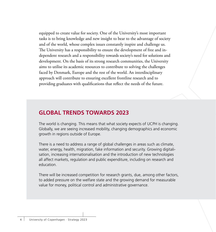equipped to create value for society. One of the University's most important tasks is to bring knowledge and new insight to bear to the advantage of society and of the world, whose complex issues constantly inspire and challenge us. The University has a responsibility to ensure the development of free and independent research and a responsibility towards society's need for solutions and development. On the basis of its strong research communities, the University aims to utilise its academic resources to contribute to solving the challenges faced by Denmark, Europe and the rest of the world. An interdisciplinary approach will contribute to ensuring excellent frontline research and to providing graduates with qualifications that reflect the needs of the future.

#### **GLOBAL TRENDS TOWARDS 2023**

The world is changing. This means that what society expects of UCPH is changing. Globally, we are seeing increased mobility, changing demographics and economic growth in regions outside of Europe.

There is a need to address a range of global challenges in areas such as climate, water, energy, health, migration, fake information and security. Growing digitalisation, increasing internationalisation and the introduction of new technologies all affect markets, regulation and public expenditure, including on research and education.

There will be increased competition for research grants, due, among other factors, to added pressure on the welfare state and the growing demand for measurable value for money, political control and administrative governance.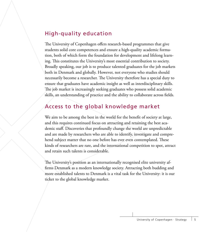### High-quality education

The University of Copenhagen offers research-based programmes that give students solid core competences and ensure a high-quality academic formation, both of which form the foundation for development and lifelong learning. This constitutes the University's most essential contribution to society. Broadly speaking, our job is to produce talented graduates for the job markets both in Denmark and globally. However, not everyone who studies should necessarily become a researcher. The University therefore has a special duty to ensure that graduates have academic insight as well as interdisciplinary skills. The job market is increasingly seeking graduates who possess solid academic skills, an understanding of practice and the ability to collaborate across fields.

### Access to the global knowledge market

We aim to be among the best in the world for the benefit of society at large, and this requires continued focus on attracting and retaining the best academic staff. Discoveries that profoundly change the world are unpredictable and are made by researchers who are able to identify, investigate and comprehend subject matter that no one before has ever even contemplated. These kinds of researchers are rare, and the international competition to spot, attract and retain such talents is considerable.

The University's position as an internationally recognised elite university affirms Denmark as a modern knowledge society. Attracting both budding and more established talents to Denmark is a vital task for the University: it is our ticket to the global knowledge market.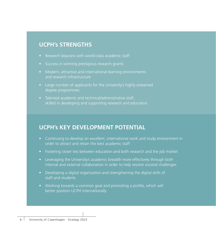#### **UCPH's STRENGTHS**

- Research beacons with world-class academic staff
- Success in winning prestigious research grants
- Modern, attractive and international learning environments and research infrastructure
- Large number of applicants for the University's highly esteemed degree programmes
- Talented academic and technical/administrative staff, skilled in developing and supporting research and education

#### **UCPH's KEY DEVELOPMENT POTENTIAL**

- Continuing to develop an excellent, international work and study environment in order to attract and retain the best academic staff
- Fostering closer ties between education and both research and the job market
- Leveraging the University's academic breadth more effectively through both internal and external collaboration in order to help resolve societal challenges
- Developing a digital organisation and strengthening the digital skills of staff and students
- Working towards a common goal and promoting a profile, which will better position UCPH internationally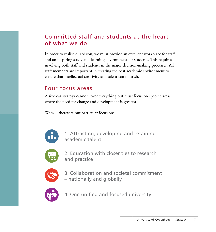## Committed staff and students at the heart of what we do

In order to realise our vision, we must provide an excellent workplace for staff and an inspiring study and learning environment for students. This requires involving both staff and students in the major decision-making processes. All staff members are important in creating the best academic environment to ensure that intellectual creativity and talent can flourish.

#### Four focus areas

A six-year strategy cannot cover everything but must focus on specific areas where the need for change and development is greatest.

We will therefore put particular focus on:



1. Attracting, developing and retaining academic talent



2. Education with closer ties to research and practice



3. Collaboration and societal commitment – nationally and globally



4. One unified and focused university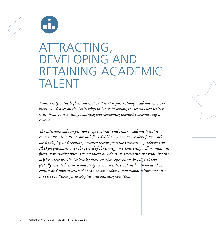

## ATTRACTING, DEVELOPING AND RETAINING ACADEMIC **TAI FNT**

*A university at the highest international level requires strong academic environments. To deliver on the University's vision to be among the world's best universities, focus on recruiting, retaining and developing talented academic staff is crucial.*

*The international competition to spot, attract and retain academic talent is considerable. It is also a core task for UCPH to ensure an excellent framework for developing and retaining research talents from the University's graduate and PhD programmes. Over the period of the strategy, the University will maintain its focus on recruiting international talent as well as on developing and retaining the brightest talents. The University must therefore offer attractive, digital and globally oriented research and study environments, combined with an academic culture and infrastructure that can accommodate international talents and offer the best conditions for developing and pursuing new ideas.*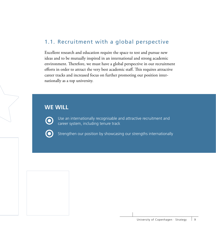#### 1.1. Recruitment with a global perspective

Excellent research and education require the space to test and pursue new ideas and to be mutually inspired in an international and strong academic environment. Therefore, we must have a global perspective in our recruitment efforts in order to attract the very best academic staff. This requires attractive career tracks and increased focus on further promoting our position internationally as a top university.

#### **WE WILL**



Use an internationally recognisable and attractive recruitment and career system, including tenure track



Strengthen our position by showcasing our strengths internationally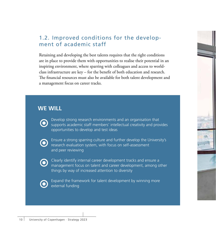## 1.2. Improved conditions for the development of academic staff

Retaining and developing the best talents requires that the right conditions are in place to provide them with opportunities to realise their potential in an inspiring environment, where sparring with colleagues and access to worldclass infrastructure are key – for the benefit of both education and research. The financial resources must also be available for both talent development and a management focus on career tracks.

#### **WE WILL**



Develop strong research environments and an organisation that supports academic staff members' intellectual creativity and provides opportunities to develop and test ideas



Ensure a strong sparring culture and further develop the University's research evaluation system, with focus on self-assessment and peer reviewing



Clearly identify internal career development tracks and ensure a management focus on talent and career development, among other things by way of increased attention to diversity



Expand the framework for talent development by winning more external funding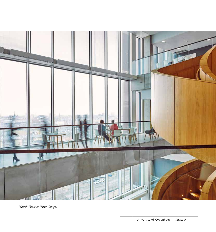

*Maersk Tower at North Campus*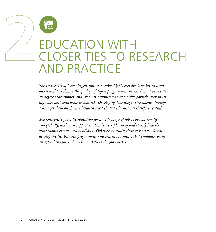

## UCATION WIT LOSER TIES TO RESEARCH AND PRACTICE

*The University of Copenhagen aims to provide highly creative learning environments and to enhance the quality of degree programmes. Research must permeate all degree programmes, and students' commitment and active participation must influence and contribute to research. Developing learning environments through a stronger focus on the ties between research and education is therefore central.*

*The University provides education for a wide range of jobs, both nationally and globally, and must support students' career planning and clarify how the programmes can be used to allow individuals to realise their potential. We must develop the ties between programmes and practice to ensure that graduates bring analytical insight and academic skills to the job market.*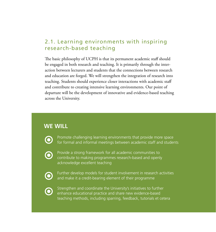#### 2.1. Learning environments with inspiring research-based teaching

The basic philosophy of UCPH is that its permanent academic staff should be engaged in both research and teaching. It is primarily through the interaction between lecturers and students that the connections between research and education are forged. We will strengthen the integration of research into teaching. Students should experience closer interactions with academic staff and contribute to creating intensive learning environments. Our point of departure will be the development of innovative and evidence-based teaching across the University.

#### **WE WILL**



Provide a strong framework for all academic communities to contribute to making programmes research-based and openly acknowledge excellent teaching

Further develop models for student involvement in research activities and make it a credit-bearing element of their programme

 $\odot$ 

Strengthen and coordinate the University's initiatives to further enhance educational practice and share new evidence-based teaching methods, including sparring, feedback, tutorials et cetera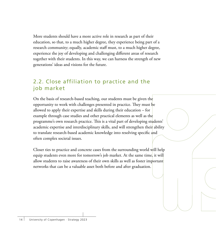More students should have a more active role in research as part of their education, so that, to a much higher degree, they experience being part of a research community; equally, academic staff must, to a much higher degree, experience the joy of developing and challenging different areas of research together with their students. In this way, we can harness the strength of new generations' ideas and visions for the future.

#### 2.2. Close affiliation to practice and the job market

On the basis of research-based teaching, our students must be given the opportunity to work with challenges presented in practice. They must be allowed to apply their expertise and skills during their education – for example through case studies and other practical elements as well as the programme's own research practice. This is a vital part of developing students' academic expertise and interdisciplinary skills, and will strengthen their ability to translate research-based academic knowledge into resolving specific and often complex societal issues.

Closer ties to practice and concrete cases from the surrounding world will help equip students even more for tomorrow's job market. At the same time, it will allow students to raise awareness of their own skills as well as foster important networks that can be a valuable asset both before and after graduation.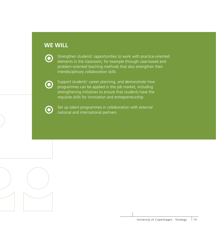#### **WE WILL**



Strengthen students' opportunities to work with practice-oriented elements in the classroom, for example through case-based and problem-oriented teaching methods that also strengthen their interdisciplinary collaboration skills



Support students' career planning, and demonstrate how programmes can be applied in the job market, including strengthening initiatives to ensure that students have the requisite skills for innovation and entrepreneurship



Set up talent programmes in collaboration with external national and international partners

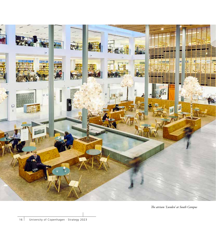

*The atrium 'Lunden' at South Campus*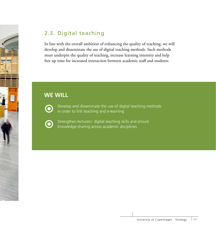## 2.3. Digital teaching

In line with the overall ambition of enhancing the quality of teaching, we will develop and disseminate the use of digital teaching methods. Such methods must underpin the quality of teaching, increase learning intensity and help free up time for increased interaction between academic staff and students.

### **WE WILL**

Develop and disseminate the use of digital teaching methods in order to link teaching and e-learning



Strengthen lecturers' digital teaching skills and ensure knowledge-sharing across academic disciplines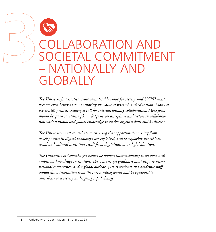# ABORATION AND OCIFTAL COMMITMENT – NATIONALLY AND GLOBALLY

*The University's activities create considerable value for society, and UCPH must become even better at demonstrating the value of research and education. Many of the world's greatest challenges call for interdisciplinary collaboration. More focus should be given to utilising knowledge across disciplines and sectors in collaboration with national and global knowledge-intensive organisations and businesses.* 

*The University must contribute to ensuring that opportunities arising from developments in digital technology are exploited, and to exploring the ethical, social and cultural issues that result from digitalisation and globalisation.*

*The University of Copenhagen should be known internationally as an open and ambitious knowledge institution. The University's graduates must acquire international competences and a global outlook, just as students and academic staff should draw inspiration from the surrounding world and be equipped to contribute to a society undergoing rapid change.*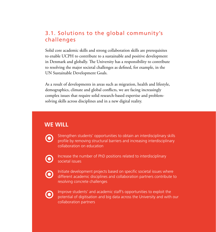### 3.1. Solutions to the global community's challenges

Solid core academic skills and strong collaboration skills are prerequisites to enable UCPH to contribute to a sustainable and positive development in Denmark and globally. The University has a responsibility to contribute to resolving the major societal challenges as defined, for example, in the UN Sustainable Development Goals.

As a result of developments in areas such as migration, health and lifestyle, demographics, climate and global conflicts, we are facing increasingly complex issues that require solid research-based expertise and problemsolving skills across disciplines and in a new digital reality.

#### **WE WILL**

Strengthen students' opportunities to obtain an interdisciplinary skills profile by removing structural barriers and increasing interdisciplinary collaboration on education



Increase the number of PhD positions related to interdisciplinary societal issues



Initiate development projects based on specific societal issues where different academic disciplines and collaboration partners contribute to resolving concrete challenges



Improve students' and academic staff's opportunities to exploit the potential of digitisation and big data across the University and with our collaboration partners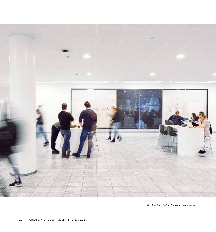

*The Marble Hall at Frederiksberg Campus*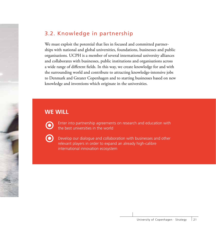#### 3.2. Knowledge in partnership

We must exploit the potential that lies in focused and committed partnerships with national and global universities, foundations, businesses and public organisations. UCPH is a member of several international university alliances and collaborates with businesses, public institutions and organisations across a wide range of different fields. In this way, we create knowledge for and with the surrounding world and contribute to attracting knowledge-intensive jobs to Denmark and Greater Copenhagen and to starting businesses based on new knowledge and inventions which originate in the universities.

#### **WE WILL**



Enter into partnership agreements on research and education with the best universities in the world



Develop our dialogue and collaboration with businesses and other relevant players in order to expand an already high-calibre international innovation ecosystem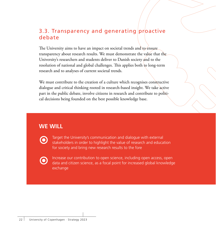#### 3.3. Transparency and generating proactive debate

The University aims to have an impact on societal trends and to ensure transparency about research results. We must demonstrate the value that the University's researchers and students deliver to Danish society and to the resolution of national and global challenges. This applies both to long-term research and to analyses of current societal trends.

We must contribute to the creation of a culture which recognises constructive dialogue and critical thinking rooted in research-based insight. We take active part in the public debate, involve citizens in research and contribute to political decisions being founded on the best possible knowledge base.

#### **WE WILL**

Target the University's communication and dialogue with external stakeholders in order to highlight the value of research and education for society and bring new research results to the fore



Increase our contribution to open science, including open access, open data and citizen science, as a focal point for increased global knowledge exchange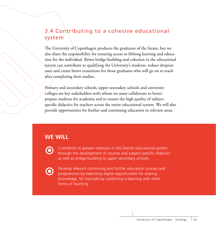## 3.4 Contributing to a cohesive educational system

The University of Copenhagen produces the graduates of the future, but we also share the responsibility for ensuring access to lifelong learning and education for the individual. Better bridge-building and cohesion in the educational system can contribute to qualifying the University's students, reduce dropout rates and create better transitions for those graduates who will go on to teach after completing their studies.

Primary and secondary schools, upper secondary schools and university colleges are key stakeholders with whom we must collaborate to better prepare students for academia and to ensure the high quality of subjectspecific didactics for teachers across the entire educational system. We will also provide opportunities for further and continuing education in relevant areas.

#### **WE WILL**

Contribute to greater cohesion in the Danish educational system through the development of courses and subject-specific didactics as well as bridge-building to upper secondary schools

Develop relevant continuing and further education courses and programmes by exploiting digital opportunities for sharing knowledge, for example by combining e-learning with other forms of teaching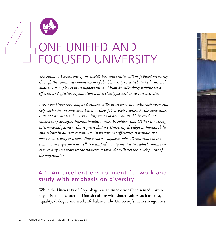

# ONE UNIFIED AND FOCUSED UNIVERSITY

*The vision to become one of the world's best universities will be fulfilled primarily through the continued enhancement of the University's research and educational quality. All employees must support this ambition by collectively striving for an efficient and effective organisation that is clearly focused on its core activities.*

*Across the University, staff and students alike must work to inspire each other and help each other become even better at their job or their studies. At the same time, it should be easy for the surrounding world to draw on the University's interdisciplinary strengths. Internationally, it must be evident that UCPH is a strong international partner. This requires that the University develops its human skills and talents in all staff groups, uses its resources as efficiently as possible and operates as a unified whole. That requires employees who all contribute to the common strategic goals as well as a unified management team, which communicates clearly and provides the framework for and facilitates the development of the organisation.*

#### 4.1. An excellent environment for work and study with emphasis on diversity

While the University of Copenhagen is an internationally oriented university, it is still anchored in Danish culture with shared values such as trust, equality, dialogue and work/life balance. The University's main strength lies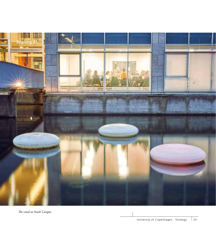

*The canal at South Campus*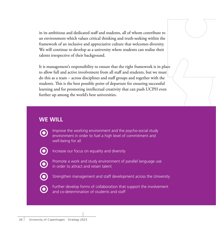in its ambitious and dedicated staff and students, all of whom contribute to an environment which values critical thinking and truth-seeking within the framework of an inclusive and appreciative culture that welcomes diversity. We will continue to develop as a university where students can realise their talents irrespective of their background.

It is management's responsibility to ensure that the right framework is in place to allow full and active involvement from all staff and students, but we must do this as a team – across disciplines and staff groups and together with the students. This is the best possible point of departure for ensuring successful learning and for promoting intellectual creativity that can push UCPH even further up among the world's best universities.

## **WE WILL**

Improve the working environment and the psycho-social study environment in order to fuel a high level of commitment and well-being for all



Increase our focus on equality and diversity



Promote a work and study environment of parallel language use in order to attract and retain talent



Strengthen management and staff development across the University



Further develop forms of collaboration that support the involvement and co-determination of students and staff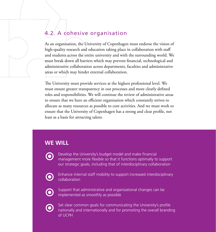## 4.2. A cohesive organisation

As an organisation, the University of Copenhagen must endorse the vision of high-quality research and education taking place in collaboration with staff and students across the entire university and with the surrounding world. We must break down all barriers which may prevent financial, technological and administrative collaboration across departments, faculties and administrative areas or which may hinder external collaboration.

The University must provide services at the highest professional level. We must ensure greater transparency in our processes and more clearly defined roles and responsibilities. We will continue the review of administrative areas to ensure that we have an efficient organisation which constantly strives to allocate as many resources as possible to core activities. And we must work to ensure that the University of Copenhagen has a strong and clear profile, not least as a basis for attracting talent.

#### **WE WILL**

- Develop the University's budget model and make financial management more flexible so that it functions optimally to support our strategic goals, including that of interdisciplinary collaboration
- 

Enhance internal staff mobility to support increased interdisciplinary collaboration

Support that administrative and organisational changes can be implemented as smoothly as possible



Set clear common goals for communicating the University's profile nationally and internationally and for promoting the overall branding of UCPH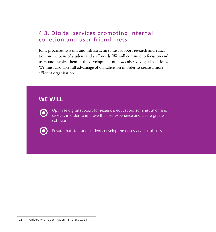### 4.3. Digital services promoting internal cohesion and user-friendliness

Joint processes, systems and infrastructure must support research and education on the basis of student and staff needs. We will continue to focus on end users and involve them in the development of new, cohesive digital solutions. We must also take full advantage of digitalisation in order to create a more efficient organisation.

#### **WE WILL**



Optimise digital support for research, education, administration and services in order to improve the user experience and create greater cohesion



Ensure that staff and students develop the necessary digital skills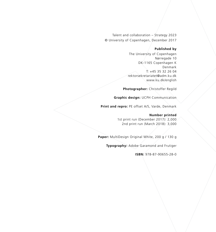Talent and collaboration – Strategy 2023 © University of Copenhagen, December 2017

#### **Published by**

The University of Copenhagen Nørregade 10 DK-1165 Copenhagen K Denmark  $T: +4535322604$ rektorsekretariatet@adm.ku.dk www.ku.dk/english

**Photographer:** Christoffer Regild

**Graphic design:** UCPH Communication

**Print and repro:** PE offset A/S, Varde, Denmark

**Number printed**

1st print run (December 2017): 2,000 2nd print run (March 2018): 3,000

Paper: MultiDesign Original White, 200<sup>o</sup>g / 130 g

**Typography:** Adobe Garamond and Frutiger

**ISBN:** 978-87-90655-28-0